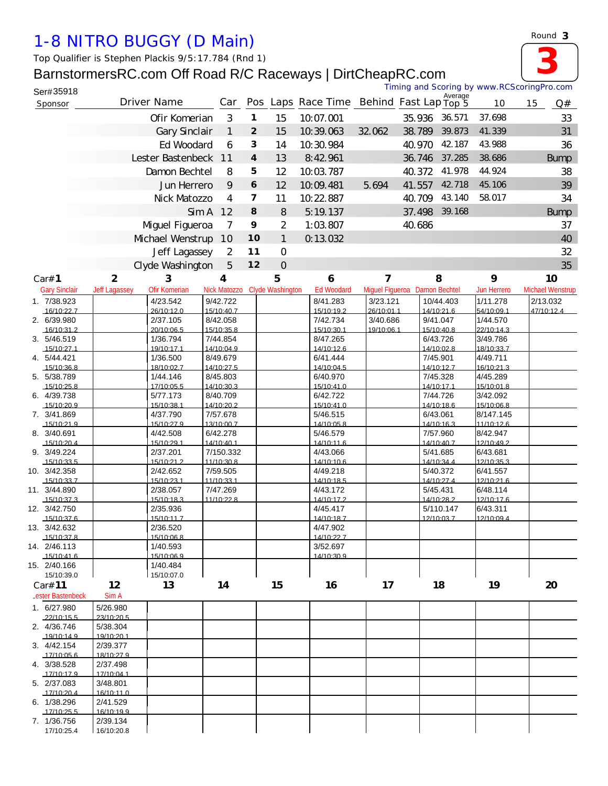## *1-8 NITRO BUGGY (D Main)*

*Top Qualifier is Stephen Plackis 9/5:17.784 (Rnd 1)*

Ser#35918

## BarnstormersRC.com Off Road R/C Raceways | DirtCheapRC.com<br>
Timing and Scoring by www.RCScoringPro.com

| J <del>el#999</del> 19<br>Sponsor |                        | Driver Name            | Car                     |                |                         | Pos Laps Race Time Behind Fast Lap Top 5 |                        |                              | Average                 | 10                      | 15 | Q#                     |
|-----------------------------------|------------------------|------------------------|-------------------------|----------------|-------------------------|------------------------------------------|------------------------|------------------------------|-------------------------|-------------------------|----|------------------------|
|                                   |                        | Ofir Komerian          | 3                       | 1              | 15                      | 10.07.001                                |                        | 35.936                       | 36.571                  | 37.698                  |    | 33                     |
|                                   |                        | Gary Sinclair          | 1                       | $\overline{2}$ | 15                      | 10.39.063                                | 32.062                 | 38.789                       | 39.873                  | 41.339                  |    | 31                     |
|                                   |                        | Ed Woodard             | 6                       | З              | 14                      | 10.30.984                                |                        | 40.970                       | 42.187                  | 43.988                  |    | 36                     |
|                                   |                        | Lester Bastenbeck      | 11                      | $\overline{4}$ | 13                      | 8:42.961                                 |                        | 36.746                       | 37.285                  | 38.686                  |    | <b>Bump</b>            |
|                                   |                        | Damon Bechtel          |                         | 5              |                         | 10.03.787                                |                        |                              | 41.978                  | 44.924                  |    |                        |
|                                   |                        |                        | 8<br>9                  |                | 12                      |                                          |                        | 40.372                       |                         |                         |    | 38                     |
|                                   | Jun Herrero            |                        |                         | 6              | 12                      | 10.09.481                                | 5.694                  | 41.557                       | 42.718                  | 45.106                  |    | 39                     |
|                                   |                        | Nick Matozzo           | 4                       | $\overline{7}$ | 11                      | 10.22.887                                |                        | 40.709                       | 43.140                  | 58.017                  |    | 34                     |
|                                   |                        | Sim A                  | 12                      | 8              | 8                       | 5:19.137                                 |                        | 37.498                       | 39.168                  |                         |    | <b>Bump</b>            |
|                                   |                        | Mguel Figueroa         | 7                       | 9              | $\overline{2}$          | 1:03.807                                 |                        | 40.686                       |                         |                         |    | 37                     |
|                                   |                        | Mchael Wenstrup        | 10                      | 10             | $\mathbf{1}$            | 0.13.032                                 |                        |                              |                         |                         |    | 40                     |
|                                   |                        | Jeff Lagassey          | $\overline{2}$          | 11             | $\overline{O}$          |                                          |                        |                              |                         |                         |    | 32                     |
|                                   |                        | Clyde Washington       | 5                       | 12             | $\overline{O}$          |                                          |                        |                              |                         |                         |    | 35                     |
| Car# 1                            | $\overline{2}$         | 3                      | 4                       |                | 5                       | 6                                        | 7                      |                              | 8                       | 9                       |    | 10                     |
| <b>Gary Sindair</b>               | <b>Jeff Lagassey</b>   | Ofir Komerian          | Nick Matozzo            |                | <b>Clyde Washington</b> | <b>Ed Woodard</b>                        |                        | Mguel Figueroa Damon Bechtel |                         | Jun Herrero             |    | <b>Mchael Wenstrup</b> |
| 1. 7/38.923                       |                        | 4/23.542               | 9/42.722                |                |                         | 8/41.283                                 | 3/23.121               |                              | 10/44.403               | 1/11.278                |    | 2/13.032               |
| 16/10:22.7                        |                        | 26/10:12.0             | 15/10:40.7              |                |                         | 15/10:19.2                               | 26/10:01.1             |                              | 14/10:21.6              | 54/10:09.1              |    | 47/10:12.4             |
| 2. 6/39.980<br>16/10:31.2         |                        | 2/37.105<br>20/10:06.5 | 8/42.058<br>15/10:35.8  |                |                         | 7/42.734<br>15/10:30.1                   | 3/40.686<br>19/10:06.1 |                              | 9/41.047<br>15/10:40.8  | 1/44.570<br>22/10:14.3  |    |                        |
| 3. 5/46.519                       |                        | 1/36.794               | 7/44.854                |                |                         | 8/47.265                                 |                        |                              | 6/43.726                | 3/49.786                |    |                        |
| 15/10:27.1                        |                        | 19/10:17.1             | 14/10:04.9              |                |                         | 14/10:12.6                               |                        |                              | 14/10:02.8              | 18/10:33.7              |    |                        |
| 4. 5/44.421                       |                        | 1/36.500               | 8/49.679                |                |                         | 6/41.444                                 |                        |                              | 7/45.901                | 4/49.711                |    |                        |
| 15/10:36.8<br>5. 5/38.789         |                        | 18/10:02.7<br>1/44.146 | 14/10:27.5<br>8/45.803  |                |                         | 14/10:04.5<br>6/40.970                   |                        |                              | 14/10:12.7<br>7/45.328  | 16/10:21.3<br>4/45.289  |    |                        |
| 15/10.25.8                        |                        | 17/10:05.5             | 14/10:30.3              |                |                         | 15/10:41.0                               |                        |                              | 14/10.171               | 15/10.018               |    |                        |
| 6. 4/39.738                       |                        | 5/77.173               | 8/40.709                |                |                         | 6/42.722                                 |                        |                              | 7/44.726                | 3/42.092                |    |                        |
| 15/10:20.9                        |                        | 15/10:38.1             | 14/10:20.2              |                |                         | 15/10:41.0                               |                        |                              | 14/10:18.6              | 15/10:06.8              |    |                        |
| 7. 3/41.869<br>15/10:21.9         |                        | 4/37.790<br>15/10:27.9 | 7/57.678<br>13/10:00.7  |                |                         | 5/46.515<br>14/10:05.8                   |                        |                              | 6/43.061<br>14/10:16.3  | 8/147.145<br>11/10:12.6 |    |                        |
| 8. 3/40.691                       |                        | 4/42.508               | 6/42.278                |                |                         | 5/46.579                                 |                        |                              | 7/57.960                | 8/42.947                |    |                        |
| 15/10:20.4                        |                        | 15/10:29.1             | 14/10:40.1              |                |                         | 14/10:11.6                               |                        |                              | 14/10:40.7              | 12/10:49.2              |    |                        |
| 9. 3/49.224<br>15/10:33.5         |                        | 2/37.201<br>15/10:21.2 | 7/150.332<br>11/10:30.8 |                |                         | 4/43.066<br>14/10:10.6                   |                        |                              | 5/41.685<br>14/10:34.4  | 6/43.681<br>12/10:35.3  |    |                        |
| 10. 3/42.358                      |                        | 2/42.652               | 7/59.505                |                |                         | 4/49.218                                 |                        |                              | 5/40.372                | 6/41.557                |    |                        |
| 15/10:33.7                        |                        | 15/10:23.1             | 11/10:33.1              |                |                         | 14/10:18.5                               |                        |                              | 14/10:27.4              | 12/10:21.6              |    |                        |
| 11. 3/44.890                      |                        | 2/38.057               | 7/47.269                |                |                         | 4/43.172                                 |                        |                              | 5/45.431                | 6/48.114                |    |                        |
| 15/10:37.3<br>12. 3/42.750        |                        | 15/10:18.3<br>2/35.936 | 11/10:22.8              |                |                         | 14/10:17.2<br>4/45.417                   |                        |                              | 14/10:28.2<br>5/110.147 | 12/10:17.6<br>6/43.311  |    |                        |
| 15/10:37.6                        |                        | 15/10:11.7             |                         |                |                         | 14/10:18.7                               |                        |                              | 12/10:03.7              | 12/10:09.4              |    |                        |
| 13. 3/42.632                      |                        | 2/36.520               |                         |                |                         | 4/47.902                                 |                        |                              |                         |                         |    |                        |
| 15/10:37.8<br>14. 2/46.113        |                        | 15/10:06.8<br>1/40.593 |                         |                |                         | 14/10:22.7                               |                        |                              |                         |                         |    |                        |
| 15/10:41.6                        |                        | 15/10:06.9             |                         |                |                         | 3/52.697<br>14/10:30.9                   |                        |                              |                         |                         |    |                        |
| 15. 2/40.166                      |                        | 1/40.484               |                         |                |                         |                                          |                        |                              |                         |                         |    |                        |
| 15/10:39.0                        |                        | 15/10:07.0             |                         |                |                         |                                          |                        |                              |                         |                         |    |                        |
| Car# 11                           | 12                     | 13                     | 14                      |                | 15                      | 16                                       | 17                     |                              | 18                      | 19                      |    | 20                     |
| Lester Bastenbeck                 | <b>SimA</b>            |                        |                         |                |                         |                                          |                        |                              |                         |                         |    |                        |
| 1. 6/27.980<br>.22/10:15.5        | 5/26.980<br>23/10:20.5 |                        |                         |                |                         |                                          |                        |                              |                         |                         |    |                        |
| 2. 4/36.746                       | 5/38.304               |                        |                         |                |                         |                                          |                        |                              |                         |                         |    |                        |
| 19/10:14.9                        | 19/10:20.1             |                        |                         |                |                         |                                          |                        |                              |                         |                         |    |                        |
| 3. 4/42.154<br>17/10:05.6         | 2/39.377<br>18/10:27.9 |                        |                         |                |                         |                                          |                        |                              |                         |                         |    |                        |
| 4. 3/38.528                       | 2/37.498               |                        |                         |                |                         |                                          |                        |                              |                         |                         |    |                        |
| 17/10:17.9                        | 17/10:04.1             |                        |                         |                |                         |                                          |                        |                              |                         |                         |    |                        |
| 5. 2/37.083                       | 3/48.801               |                        |                         |                |                         |                                          |                        |                              |                         |                         |    |                        |
| 17/10:20.4<br>6. 1/38.296         | 16/10:11.0<br>2/41.529 |                        |                         |                |                         |                                          |                        |                              |                         |                         |    |                        |
| 17/10:25.5                        | 16/10:19.9             |                        |                         |                |                         |                                          |                        |                              |                         |                         |    |                        |
| 7. 1/36.756                       | 2/39.134               |                        |                         |                |                         |                                          |                        |                              |                         |                         |    |                        |
| 17/10:25.4                        | 16/10:20.8             |                        |                         |                |                         |                                          |                        |                              |                         |                         |    |                        |



**3** Timing and Scoring by www.RCScoringPro.com Ser#